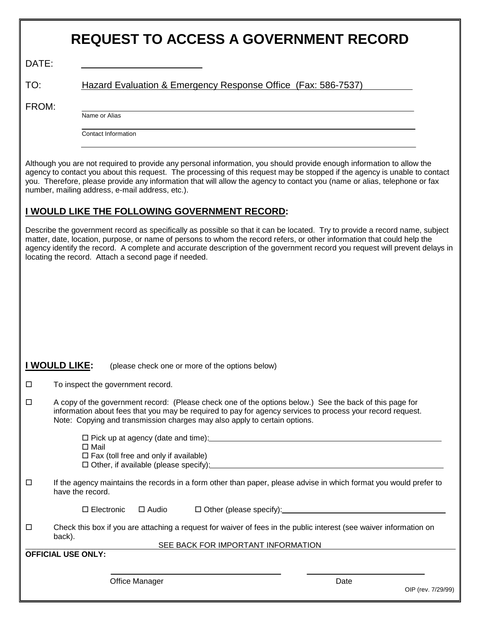|                                                                                                                                                                                                                                                                                                              | <b>REQUEST TO ACCESS A GOVERNMENT RECORD</b>                                                                                                                                                                                                                                                                                                                                                                                                  |  |
|--------------------------------------------------------------------------------------------------------------------------------------------------------------------------------------------------------------------------------------------------------------------------------------------------------------|-----------------------------------------------------------------------------------------------------------------------------------------------------------------------------------------------------------------------------------------------------------------------------------------------------------------------------------------------------------------------------------------------------------------------------------------------|--|
| DATE:                                                                                                                                                                                                                                                                                                        |                                                                                                                                                                                                                                                                                                                                                                                                                                               |  |
| TO:                                                                                                                                                                                                                                                                                                          | Hazard Evaluation & Emergency Response Office (Fax: 586-7537)                                                                                                                                                                                                                                                                                                                                                                                 |  |
| FROM:                                                                                                                                                                                                                                                                                                        |                                                                                                                                                                                                                                                                                                                                                                                                                                               |  |
|                                                                                                                                                                                                                                                                                                              | Name or Alias                                                                                                                                                                                                                                                                                                                                                                                                                                 |  |
|                                                                                                                                                                                                                                                                                                              | <b>Contact Information</b>                                                                                                                                                                                                                                                                                                                                                                                                                    |  |
|                                                                                                                                                                                                                                                                                                              | Although you are not required to provide any personal information, you should provide enough information to allow the<br>agency to contact you about this request. The processing of this request may be stopped if the agency is unable to contact<br>you. Therefore, please provide any information that will allow the agency to contact you (name or alias, telephone or fax<br>number, mailing address, e-mail address, etc.).           |  |
|                                                                                                                                                                                                                                                                                                              | I WOULD LIKE THE FOLLOWING GOVERNMENT RECORD:                                                                                                                                                                                                                                                                                                                                                                                                 |  |
|                                                                                                                                                                                                                                                                                                              | Describe the government record as specifically as possible so that it can be located. Try to provide a record name, subject<br>matter, date, location, purpose, or name of persons to whom the record refers, or other information that could help the<br>agency identify the record. A complete and accurate description of the government record you request will prevent delays in<br>locating the record. Attach a second page if needed. |  |
|                                                                                                                                                                                                                                                                                                              |                                                                                                                                                                                                                                                                                                                                                                                                                                               |  |
|                                                                                                                                                                                                                                                                                                              |                                                                                                                                                                                                                                                                                                                                                                                                                                               |  |
|                                                                                                                                                                                                                                                                                                              |                                                                                                                                                                                                                                                                                                                                                                                                                                               |  |
|                                                                                                                                                                                                                                                                                                              |                                                                                                                                                                                                                                                                                                                                                                                                                                               |  |
|                                                                                                                                                                                                                                                                                                              |                                                                                                                                                                                                                                                                                                                                                                                                                                               |  |
|                                                                                                                                                                                                                                                                                                              | I WOULD LIKE:<br>(please check one or more of the options below)                                                                                                                                                                                                                                                                                                                                                                              |  |
| $\Box$                                                                                                                                                                                                                                                                                                       | To inspect the government record.                                                                                                                                                                                                                                                                                                                                                                                                             |  |
| A copy of the government record: (Please check one of the options below.) See the back of this page for<br>$\Box$<br>information about fees that you may be required to pay for agency services to process your record request.<br>Note: Copying and transmission charges may also apply to certain options. |                                                                                                                                                                                                                                                                                                                                                                                                                                               |  |
|                                                                                                                                                                                                                                                                                                              | $\Box$ Mail                                                                                                                                                                                                                                                                                                                                                                                                                                   |  |
|                                                                                                                                                                                                                                                                                                              | $\Box$ Fax (toll free and only if available)<br>□ Other, if available (please specify):<br>□ Other, if available (please specify):                                                                                                                                                                                                                                                                                                            |  |
| $\Box$                                                                                                                                                                                                                                                                                                       | If the agency maintains the records in a form other than paper, please advise in which format you would prefer to<br>have the record.                                                                                                                                                                                                                                                                                                         |  |
|                                                                                                                                                                                                                                                                                                              | □ Other (please specify): <u>2000 manual contract of the set of the set of the set of the set of the set of the set of the set of the set of the set of the set of the set of the set of the set of the set of the set of the s</u><br>$\square$ Audio<br>$\square$ Electronic                                                                                                                                                                |  |
| $\Box$                                                                                                                                                                                                                                                                                                       | Check this box if you are attaching a request for waiver of fees in the public interest (see waiver information on<br>back).                                                                                                                                                                                                                                                                                                                  |  |
|                                                                                                                                                                                                                                                                                                              | SEE BACK FOR IMPORTANT INFORMATION<br><b>OFFICIAL USE ONLY:</b>                                                                                                                                                                                                                                                                                                                                                                               |  |
|                                                                                                                                                                                                                                                                                                              |                                                                                                                                                                                                                                                                                                                                                                                                                                               |  |
|                                                                                                                                                                                                                                                                                                              | <b>Office Manager</b><br>Date<br>OIP (rev. 7/29/99)                                                                                                                                                                                                                                                                                                                                                                                           |  |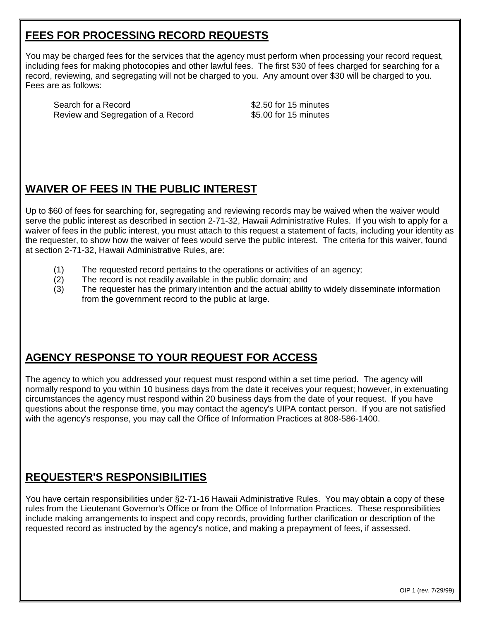## **FEES FOR PROCESSING RECORD REQUESTS**

You may be charged fees for the services that the agency must perform when processing your record request, including fees for making photocopies and other lawful fees. The first \$30 of fees charged for searching for a record, reviewing, and segregating will not be charged to you. Any amount over \$30 will be charged to you. Fees are as follows:

Search for a Record  $$2.50$  for 15 minutes Review and Segregation of a Record \$5.00 for 15 minutes

## **WAIVER OF FEES IN THE PUBLIC INTEREST**

Up to \$60 of fees for searching for, segregating and reviewing records may be waived when the waiver would serve the public interest as described in section 2-71-32, Hawaii Administrative Rules. If you wish to apply for a waiver of fees in the public interest, you must attach to this request a statement of facts, including your identity as the requester, to show how the waiver of fees would serve the public interest. The criteria for this waiver, found at section 2-71-32, Hawaii Administrative Rules, are:

- (1) The requested record pertains to the operations or activities of an agency;
- (2) The record is not readily available in the public domain; and
- (3) The requester has the primary intention and the actual ability to widely disseminate information from the government record to the public at large.

# **AGENCY RESPONSE TO YOUR REQUEST FOR ACCESS**

The agency to which you addressed your request must respond within a set time period. The agency will normally respond to you within 10 business days from the date it receives your request; however, in extenuating circumstances the agency must respond within 20 business days from the date of your request. If you have questions about the response time, you may contact the agency's UIPA contact person. If you are not satisfied with the agency's response, you may call the Office of Information Practices at 808-586-1400.

### **REQUESTER'S RESPONSIBILITIES**

You have certain responsibilities under §2-71-16 Hawaii Administrative Rules. You may obtain a copy of these rules from the Lieutenant Governor's Office or from the Office of Information Practices. These responsibilities include making arrangements to inspect and copy records, providing further clarification or description of the requested record as instructed by the agency's notice, and making a prepayment of fees, if assessed.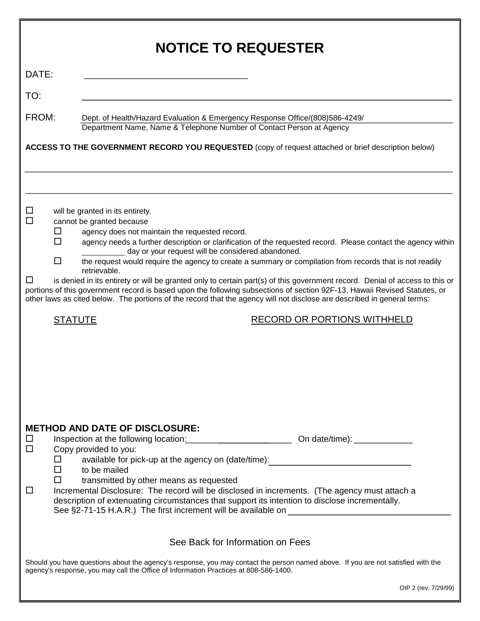| <b>NOTICE TO REQUESTER</b>                                                                                                                                                                                                                                                                             |                       |                                                                                                                                                                                                                                                                                                                                                                                                                                                                                                                                                  |  |  |  |  |
|--------------------------------------------------------------------------------------------------------------------------------------------------------------------------------------------------------------------------------------------------------------------------------------------------------|-----------------------|--------------------------------------------------------------------------------------------------------------------------------------------------------------------------------------------------------------------------------------------------------------------------------------------------------------------------------------------------------------------------------------------------------------------------------------------------------------------------------------------------------------------------------------------------|--|--|--|--|
| DATE:                                                                                                                                                                                                                                                                                                  |                       |                                                                                                                                                                                                                                                                                                                                                                                                                                                                                                                                                  |  |  |  |  |
| TO:                                                                                                                                                                                                                                                                                                    |                       |                                                                                                                                                                                                                                                                                                                                                                                                                                                                                                                                                  |  |  |  |  |
| FROM:                                                                                                                                                                                                                                                                                                  |                       | Dept. of Health/Hazard Evaluation & Emergency Response Office/(808)586-4249/<br>Department Name, Name & Telephone Number of Contact Person at Agency                                                                                                                                                                                                                                                                                                                                                                                             |  |  |  |  |
| ACCESS TO THE GOVERNMENT RECORD YOU REQUESTED (copy of request attached or brief description below)                                                                                                                                                                                                    |                       |                                                                                                                                                                                                                                                                                                                                                                                                                                                                                                                                                  |  |  |  |  |
|                                                                                                                                                                                                                                                                                                        |                       |                                                                                                                                                                                                                                                                                                                                                                                                                                                                                                                                                  |  |  |  |  |
|                                                                                                                                                                                                                                                                                                        |                       |                                                                                                                                                                                                                                                                                                                                                                                                                                                                                                                                                  |  |  |  |  |
| $\Box$<br>П<br>ப                                                                                                                                                                                                                                                                                       | $\Box$<br>П<br>$\Box$ | will be granted in its entirety.<br>cannot be granted because<br>agency does not maintain the requested record.<br>agency needs a further description or clarification of the requested record. Please contact the agency within<br>day or your request will be considered abandoned.<br>the request would require the agency to create a summary or compilation from records that is not readily<br>retrievable.<br>is denied in its entirety or will be granted only to certain part(s) of this government record. Denial of access to this or |  |  |  |  |
|                                                                                                                                                                                                                                                                                                        |                       | portions of this government record is based upon the following subsections of section 92F-13, Hawaii Revised Statutes, or<br>other laws as cited below. The portions of the record that the agency will not disclose are described in general terms:                                                                                                                                                                                                                                                                                             |  |  |  |  |
| <b>STATUTE</b>                                                                                                                                                                                                                                                                                         |                       | <b>RECORD OR PORTIONS WITHHELD</b>                                                                                                                                                                                                                                                                                                                                                                                                                                                                                                               |  |  |  |  |
|                                                                                                                                                                                                                                                                                                        |                       | <b>METHOD AND DATE OF DISCLOSURE:</b>                                                                                                                                                                                                                                                                                                                                                                                                                                                                                                            |  |  |  |  |
| ப<br>$\Box$                                                                                                                                                                                                                                                                                            | $\Box$<br>□           | Copy provided to you:<br>available for pick-up at the agency on (date/time):<br><u> available for pick-up</u> at the agency on (date/time):<br>to be mailed                                                                                                                                                                                                                                                                                                                                                                                      |  |  |  |  |
| □                                                                                                                                                                                                                                                                                                      | $\mathsf{L}$          | transmitted by other means as requested<br>Incremental Disclosure: The record will be disclosed in increments. (The agency must attach a<br>description of extenuating circumstances that support its intention to disclose incrementally.<br>See §2-71-15 H.A.R.) The first increment will be available on ___________________                                                                                                                                                                                                                  |  |  |  |  |
| See Back for Information on Fees                                                                                                                                                                                                                                                                       |                       |                                                                                                                                                                                                                                                                                                                                                                                                                                                                                                                                                  |  |  |  |  |
| Should you have questions about the agency's response, you may contact the person named above. If you are not satisfied with the<br>agency's response, you may call the Office of Information Practices at 808-586-1400.<br>$\bigcap_{n=1}^{\infty}$ $\bigcap_{n=1}^{\infty}$ $\bigcap_{n=1}^{\infty}$ |                       |                                                                                                                                                                                                                                                                                                                                                                                                                                                                                                                                                  |  |  |  |  |